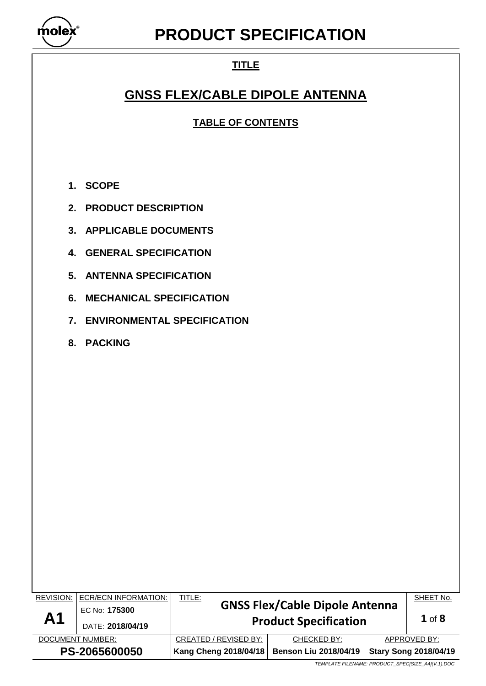

## **TITLE**

## **GNSS FLEX/CABLE DIPOLE ANTENNA**

**TABLE OF CONTENTS**

- **1. SCOPE**
- **2. PRODUCT DESCRIPTION**
- **3. APPLICABLE DOCUMENTS**
- **4. GENERAL SPECIFICATION**
- **5. ANTENNA SPECIFICATION**
- **6. MECHANICAL SPECIFICATION**
- **7. ENVIRONMENTAL SPECIFICATION**
- **8. PACKING**

| REVISION:<br>A <sub>1</sub> | ECR/ECN INFORMATION:<br>EC No: 175300<br>DATE: 2018/04/19 | <u>TITLE:</u><br><b>GNSS Flex/Cable Dipole Antenna</b><br><b>Product Specification</b> |  |                              | SHEET No.<br>1 of $8$ |
|-----------------------------|-----------------------------------------------------------|----------------------------------------------------------------------------------------|--|------------------------------|-----------------------|
| DOCUMENT NUMBER:            |                                                           | CREATED / REVISED BY:<br>CHECKED BY:                                                   |  | APPROVED BY:                 |                       |
| PS-2065600050               |                                                           | Kang Cheng 2018/04/18<br><b>Benson Liu 2018/04/19</b>                                  |  | <b>Stary Song 2018/04/19</b> |                       |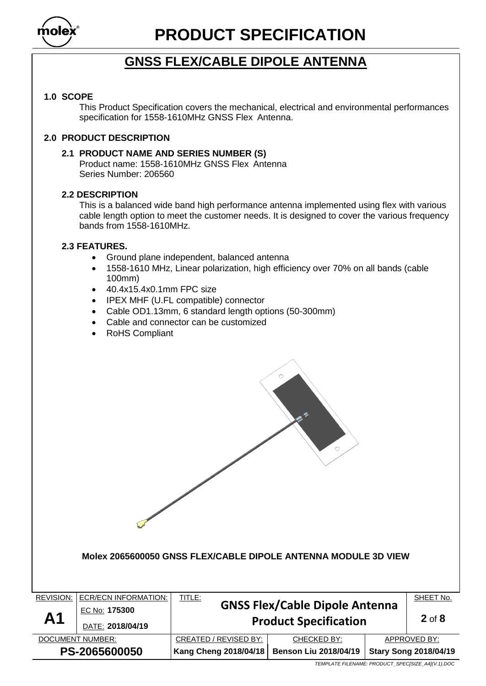

## **GNSS FLEX/CABLE DIPOLE ANTENNA**

## **1.0 SCOPE**

This Product Specification covers the mechanical, electrical and environmental performances specification for 1558-1610MHz GNSS Flex Antenna.

## **2.0 PRODUCT DESCRIPTION**

### **2.1 PRODUCT NAME AND SERIES NUMBER (S)**

Product name: 1558-1610MHz GNSS Flex Antenna Series Number: 206560

## **2.2 DESCRIPTION**

This is a balanced wide band high performance antenna implemented using flex with various cable length option to meet the customer needs. It is designed to cover the various frequency bands from 1558-1610MHz.

## **2.3 FEATURES.**

- Ground plane independent, balanced antenna
- 1558-1610 MHz, Linear polarization, high efficiency over 70% on all bands (cable 100mm)
- 40.4x15.4x0.1mm FPC size
- IPEX MHF (U.FL compatible) connector
- Cable OD1.13mm, 6 standard length options (50-300mm)
- Cable and connector can be customized
- RoHS Compliant

#### **Molex 2065600050 GNSS FLEX/CABLE DIPOLE ANTENNA MODULE 3D VIEW**

| <b>REVISION:</b> | <b>ECR/ECN INFORMATION:</b> | <b>TITLE:</b><br><b>GNSS Flex/Cable Dipole Antenna</b>       |             | SHEET No. |                              |
|------------------|-----------------------------|--------------------------------------------------------------|-------------|-----------|------------------------------|
| A <sub>1</sub>   | EC No: 175300               |                                                              |             |           |                              |
|                  | DATE: 2018/04/19            | <b>Product Specification</b>                                 | $2$ of $8$  |           |                              |
| DOCUMENT NUMBER: |                             | CREATED / REVISED BY:                                        | CHECKED BY: |           | APPROVED BY:                 |
| PS-2065600050    |                             | <b>Kang Cheng 2018/04/18</b><br><b>Benson Liu 2018/04/19</b> |             |           | <b>Stary Song 2018/04/19</b> |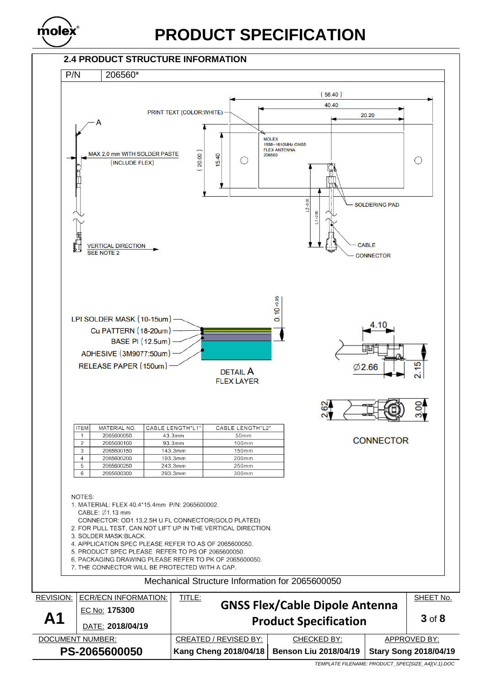

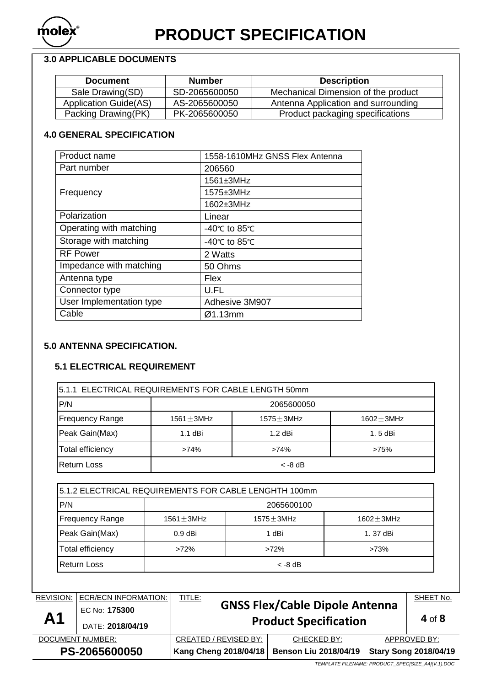

## **3.0 APPLICABLE DOCUMENTS**

| <b>Document</b>              | <b>Number</b> | <b>Description</b>                  |
|------------------------------|---------------|-------------------------------------|
| Sale Drawing(SD)             | SD-2065600050 | Mechanical Dimension of the product |
| <b>Application Guide(AS)</b> | AS-2065600050 | Antenna Application and surrounding |
| Packing Drawing(PK)          | PK-2065600050 | Product packaging specifications    |

## **4.0 GENERAL SPECIFICATION**

| Product name             | 1558-1610MHz GNSS Flex Antenna |
|--------------------------|--------------------------------|
| Part number              | 206560                         |
|                          | 1561±3MHz                      |
| Frequency                | 1575±3MHz                      |
|                          | 1602±3MHz                      |
| Polarization             | Linear                         |
| Operating with matching  | -40°C to 85°C                  |
| Storage with matching    | -40°C to 85°C                  |
| <b>RF Power</b>          | 2 Watts                        |
| Impedance with matching  | 50 Ohms                        |
| Antenna type             | Flex                           |
| Connector type           | U.FL                           |
| User Implementation type | Adhesive 3M907                 |
| Cable                    | Ø1.13mm                        |

## **5.0 ANTENNA SPECIFICATION.**

### **5.1 ELECTRICAL REQUIREMENT**

| 15.1.1 ELECTRICAL REQUIREMENTS FOR CABLE LENGTH 50mm |                 |                 |               |  |  |
|------------------------------------------------------|-----------------|-----------------|---------------|--|--|
| P/N                                                  | 2065600050      |                 |               |  |  |
| <b>Frequency Range</b>                               | 1561 $\pm$ 3MHz | 1575 $\pm$ 3MHz | $1602 + 3MHz$ |  |  |
| Peak Gain(Max)                                       | 1.1 dBi         | $1.2$ dBi       | 1.5 dBi       |  |  |
| Total efficiency                                     | $>74\%$         | $>74\%$         | >75%          |  |  |
| Return Loss                                          |                 | $<$ -8 dB       |               |  |  |

| 5.1.2 ELECTRICAL REQUIREMENTS FOR CABLE LENGHTH 100mm |                 |                  |                  |  |  |
|-------------------------------------------------------|-----------------|------------------|------------------|--|--|
| P/N                                                   | 2065600100      |                  |                  |  |  |
| <b>Frequency Range</b>                                | 1561 $\pm$ 3MHz | $1575 \pm 3$ MHz | $1602 \pm 3$ MHz |  |  |
| Peak Gain(Max)                                        | $0.9$ dBi       | 1 dBi            | 1.37 dBi         |  |  |
| Total efficiency                                      | $>72\%$         | $>72\%$          | >73%             |  |  |
| Return Loss<br>$<$ -8 dB                              |                 |                  |                  |  |  |

| <b>REVISION:</b> | ECR/ECN INFORMATION: | <b>TITLE:</b><br><b>GNSS Flex/Cable Dipole Antenna</b>       | SHEET No.  |              |                              |
|------------------|----------------------|--------------------------------------------------------------|------------|--------------|------------------------------|
| A <sub>1</sub>   | EC No: 175300        |                                                              | $4$ of $8$ |              |                              |
|                  | DATE: 2018/04/19     | <b>Product Specification</b>                                 |            |              |                              |
| DOCUMENT NUMBER: |                      | CREATED / REVISED BY:<br>CHECKED BY:                         |            | APPROVED BY: |                              |
| PS-2065600050    |                      | <b>Kang Cheng 2018/04/18</b><br><b>Benson Liu 2018/04/19</b> |            |              | <b>Stary Song 2018/04/19</b> |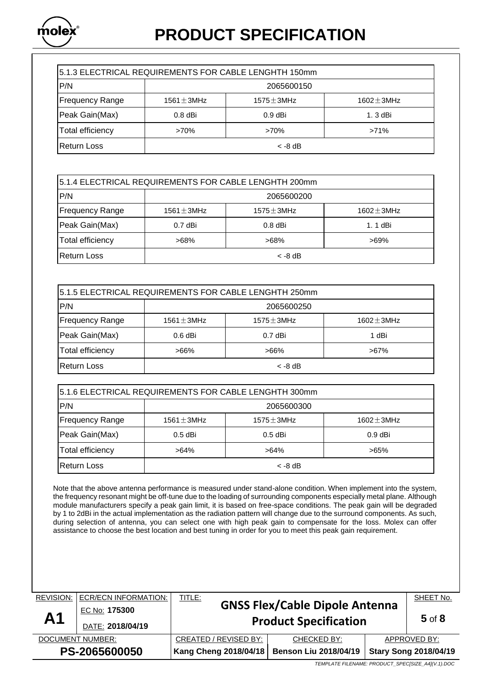

| 5.1.3 ELECTRICAL REQUIREMENTS FOR CABLE LENGHTH 150mm |                 |                 |                 |  |  |
|-------------------------------------------------------|-----------------|-----------------|-----------------|--|--|
| P/N                                                   | 2065600150      |                 |                 |  |  |
| <b>Frequency Range</b>                                | 1561 $\pm$ 3MHz | 1575 $\pm$ 3MHz | 1602 $\pm$ 3MHz |  |  |
| Peak Gain(Max)                                        | $0.8$ dBi       | $0.9$ dBi       | 1. 3 dBi        |  |  |
| <b>Total efficiency</b>                               | >70%            | >70%            | $>71\%$         |  |  |
| <b>Return Loss</b>                                    |                 | $<$ -8 dB       |                 |  |  |

| 5.1.4 ELECTRICAL REQUIREMENTS FOR CABLE LENGHTH 200mm |                                                        |           |          |  |  |
|-------------------------------------------------------|--------------------------------------------------------|-----------|----------|--|--|
| P/N                                                   | 2065600200                                             |           |          |  |  |
| <b>Frequency Range</b>                                | $1575 \pm 3$ MHz<br>1561 $\pm$ 3MHz<br>1602 $\pm$ 3MHz |           |          |  |  |
| Peak Gain(Max)                                        | $0.7$ dBi                                              | $0.8$ dBi | 1. 1 dBi |  |  |
| Total efficiency                                      | >68%                                                   | $>68\%$   | $>69\%$  |  |  |
| <b>Return Loss</b><br>$<$ -8 dB                       |                                                        |           |          |  |  |

| 5.1.5 ELECTRICAL REQUIREMENTS FOR CABLE LENGHTH 250mm |                 |                  |                  |  |  |
|-------------------------------------------------------|-----------------|------------------|------------------|--|--|
| P/N                                                   | 2065600250      |                  |                  |  |  |
| <b>Frequency Range</b>                                | 1561 $\pm$ 3MHz | $1575 \pm 3$ MHz | $1602 \pm 3$ MHz |  |  |
| Peak Gain(Max)                                        | $0.6$ dBi       | $0.7$ dBi        | 1 dBi            |  |  |
| Total efficiency<br>$>66\%$                           |                 | $>66\%$          | $>67\%$          |  |  |
| <b>Return Loss</b>                                    | $<$ -8 dB       |                  |                  |  |  |

| 5.1.6 ELECTRICAL REQUIREMENTS FOR CABLE LENGHTH 300mm |                                                        |           |           |  |  |
|-------------------------------------------------------|--------------------------------------------------------|-----------|-----------|--|--|
| P/N                                                   | 2065600300                                             |           |           |  |  |
| <b>Frequency Range</b>                                | 1561 $\pm$ 3MHz<br>$1575 \pm 3$ MHz<br>1602 $\pm$ 3MHz |           |           |  |  |
| Peak Gain(Max)                                        | $0.5$ dBi                                              | $0.5$ dBi | $0.9$ dBi |  |  |
| <b>Total efficiency</b><br>$>64\%$                    |                                                        | $>64\%$   | $>65\%$   |  |  |
| Return Loss                                           |                                                        | $<$ -8 dB |           |  |  |

Note that the above antenna performance is measured under stand-alone condition. When implement into the system, the frequency resonant might be off-tune due to the loading of surrounding components especially metal plane. Although module manufacturers specify a peak gain limit, it is based on free-space conditions. The peak gain will be degraded by 1 to 2dBi in the actual implementation as the radiation pattern will change due to the surround components. As such, during selection of antenna, you can select one with high peak gain to compensate for the loss. Molex can offer assistance to choose the best location and best tuning in order for you to meet this peak gain requirement.

| <b>REVISION:</b> | <b>ECR/ECN INFORMATION:</b> | <b>TITLE:</b>                         |                              |                              | SHEET No. |
|------------------|-----------------------------|---------------------------------------|------------------------------|------------------------------|-----------|
| A <sub>1</sub>   | EC No: 175300               | <b>GNSS Flex/Cable Dipole Antenna</b> |                              | $5$ of $8$                   |           |
|                  | DATE: 2018/04/19            | <b>Product Specification</b>          |                              |                              |           |
| DOCUMENT NUMBER: |                             | CREATED / REVISED BY:                 | CHECKED BY:                  | APPROVED BY:                 |           |
| PS-2065600050    |                             | <b>Kang Cheng 2018/04/18</b>          | <b>Benson Liu 2018/04/19</b> | <b>Stary Song 2018/04/19</b> |           |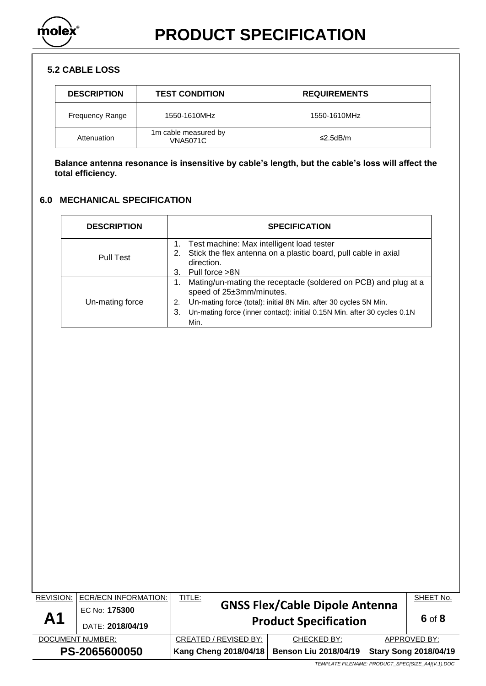

## **5.2 CABLE LOSS**

| <b>DESCRIPTION</b>     | <b>TEST CONDITION</b>                   | <b>REQUIREMENTS</b> |  |
|------------------------|-----------------------------------------|---------------------|--|
| <b>Frequency Range</b> | 1550-1610MHz                            | 1550-1610MHz        |  |
| Attenuation            | 1m cable measured by<br><b>VNA5071C</b> | ≤2.5dB/m            |  |

**Balance antenna resonance is insensitive by cable's length, but the cable's loss will affect the total efficiency.**

## **6.0 MECHANICAL SPECIFICATION**

| <b>DESCRIPTION</b> | <b>SPECIFICATION</b>                                                                                                                                                                                                                                            |  |
|--------------------|-----------------------------------------------------------------------------------------------------------------------------------------------------------------------------------------------------------------------------------------------------------------|--|
| <b>Pull Test</b>   | Test machine: Max intelligent load tester<br>Stick the flex antenna on a plastic board, pull cable in axial<br>2.<br>direction.<br>Pull force >8N<br>3.                                                                                                         |  |
| Un-mating force    | Mating/un-mating the receptacle (soldered on PCB) and plug at a<br>speed of 25±3mm/minutes.<br>Un-mating force (total): initial 8N Min. after 30 cycles 5N Min.<br>2.<br>Un-mating force (inner contact): initial 0.15N Min. after 30 cycles 0.1N<br>3.<br>Min. |  |

| <b>REVISION:</b> | <b>ECR/ECN INFORMATION:</b> | <b>TITLE:</b>                |                                       | SHEET No.                    |        |
|------------------|-----------------------------|------------------------------|---------------------------------------|------------------------------|--------|
| A <sub>1</sub>   | EC No: 175300               |                              | <b>GNSS Flex/Cable Dipole Antenna</b> |                              |        |
|                  | DATE: 2018/04/19            | <b>Product Specification</b> |                                       |                              | 6 of 8 |
| DOCUMENT NUMBER: |                             | CREATED / REVISED BY:        | CHECKED BY:                           | APPROVED BY:                 |        |
| PS-2065600050    |                             | <b>Kang Cheng 2018/04/18</b> | <b>Benson Liu 2018/04/19</b>          | <b>Stary Song 2018/04/19</b> |        |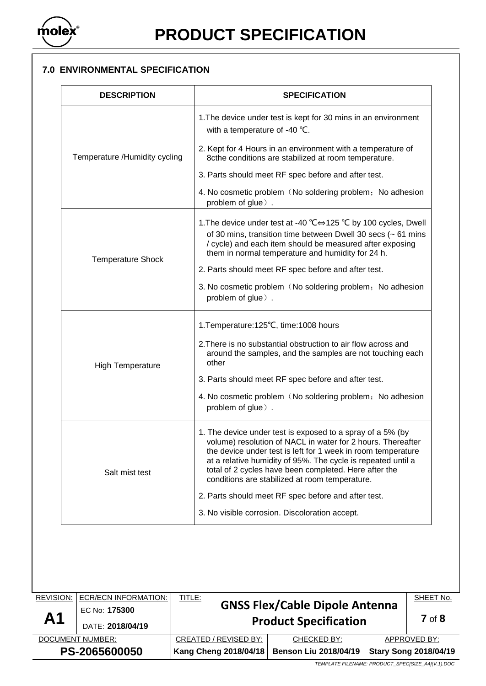

## **7.0 ENVIRONMENTAL SPECIFICATION**

| <b>DESCRIPTION</b>            | <b>SPECIFICATION</b>                                                                                                                                                                                                                                                                                                                                                 |  |  |
|-------------------------------|----------------------------------------------------------------------------------------------------------------------------------------------------------------------------------------------------------------------------------------------------------------------------------------------------------------------------------------------------------------------|--|--|
|                               | 1. The device under test is kept for 30 mins in an environment<br>with a temperature of -40 °C.                                                                                                                                                                                                                                                                      |  |  |
| Temperature /Humidity cycling | 2. Kept for 4 Hours in an environment with a temperature of<br>8cthe conditions are stabilized at room temperature.                                                                                                                                                                                                                                                  |  |  |
|                               | 3. Parts should meet RF spec before and after test.                                                                                                                                                                                                                                                                                                                  |  |  |
|                               | 4. No cosmetic problem (No soldering problem; No adhesion<br>problem of glue).                                                                                                                                                                                                                                                                                       |  |  |
| <b>Temperature Shock</b>      | 1. The device under test at -40 °C⇔125 °C by 100 cycles, Dwell<br>of 30 mins, transition time between Dwell 30 secs ( $\sim$ 61 mins<br>/ cycle) and each item should be measured after exposing<br>them in normal temperature and humidity for 24 h.                                                                                                                |  |  |
|                               | 2. Parts should meet RF spec before and after test.                                                                                                                                                                                                                                                                                                                  |  |  |
|                               | 3. No cosmetic problem (No soldering problem; No adhesion<br>problem of glue).                                                                                                                                                                                                                                                                                       |  |  |
|                               | 1. Temperature: 125°C, time: 1008 hours                                                                                                                                                                                                                                                                                                                              |  |  |
| <b>High Temperature</b>       | 2. There is no substantial obstruction to air flow across and<br>around the samples, and the samples are not touching each<br>other                                                                                                                                                                                                                                  |  |  |
|                               | 3. Parts should meet RF spec before and after test.                                                                                                                                                                                                                                                                                                                  |  |  |
|                               | 4. No cosmetic problem (No soldering problem; No adhesion<br>problem of glue).                                                                                                                                                                                                                                                                                       |  |  |
| Salt mist test                | 1. The device under test is exposed to a spray of a 5% (by<br>volume) resolution of NACL in water for 2 hours. Thereafter<br>the device under test is left for 1 week in room temperature<br>at a relative humidity of 95%. The cycle is repeated until a<br>total of 2 cycles have been completed. Here after the<br>conditions are stabilized at room temperature. |  |  |
|                               | 2. Parts should meet RF spec before and after test.                                                                                                                                                                                                                                                                                                                  |  |  |
|                               | 3. No visible corrosion. Discoloration accept.                                                                                                                                                                                                                                                                                                                       |  |  |

| <b>REVISION:</b> | <b>ECR/ECN INFORMATION:</b> | <b>TITLE:</b>                         |                              |                              | SHEET No. |
|------------------|-----------------------------|---------------------------------------|------------------------------|------------------------------|-----------|
|                  | EC No: 175300               | <b>GNSS Flex/Cable Dipole Antenna</b> |                              | $7$ of $8$                   |           |
| A <sub>1</sub>   | DATE: 2018/04/19            | <b>Product Specification</b>          |                              |                              |           |
| DOCUMENT NUMBER: |                             | CREATED / REVISED BY:                 | CHECKED BY:                  | APPROVED BY:                 |           |
| PS-2065600050    |                             | Kang Cheng 2018/04/18                 | <b>Benson Liu 2018/04/19</b> | <b>Stary Song 2018/04/19</b> |           |